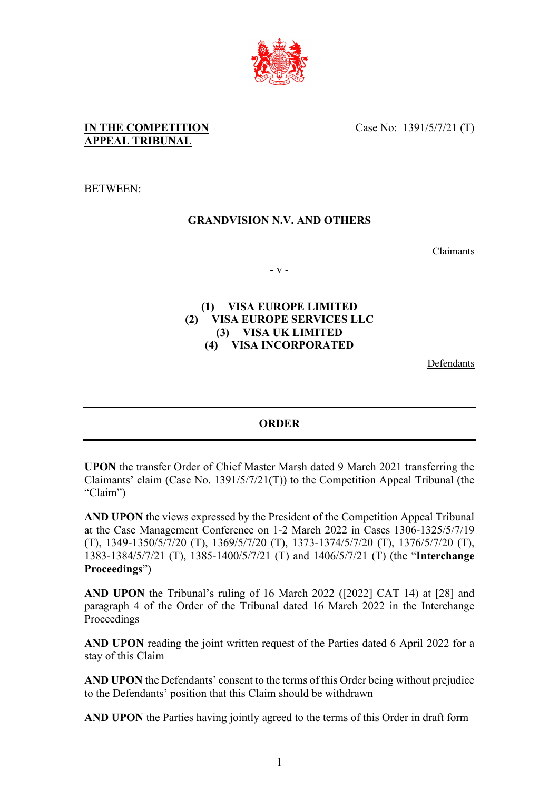

Case No: 1391/5/7/21 (T)

## **IN THE COMPETITION APPEAL TRIBUNAL**

BETWEEN:

## **GRANDVISION N.V. AND OTHERS**

Claimants

- v -

#### **(1) VISA EUROPE LIMITED (2) VISA EUROPE SERVICES LLC (3) VISA UK LIMITED (4) VISA INCORPORATED**

Defendants

### **ORDER**

**UPON** the transfer Order of Chief Master Marsh dated 9 March 2021 transferring the Claimants' claim (Case No. 1391/5/7/21(T)) to the Competition Appeal Tribunal (the "Claim")

**AND UPON** the views expressed by the President of the Competition Appeal Tribunal at the Case Management Conference on 1-2 March 2022 in Cases 1306-1325/5/7/19 (T), 1349-1350/5/7/20 (T), 1369/5/7/20 (T), 1373-1374/5/7/20 (T), 1376/5/7/20 (T), 1383-1384/5/7/21 (T), 1385-1400/5/7/21 (T) and 1406/5/7/21 (T) (the "**Interchange Proceedings**")

**AND UPON** the Tribunal's ruling of 16 March 2022 ([2022] CAT 14) at [28] and paragraph 4 of the Order of the Tribunal dated 16 March 2022 in the Interchange Proceedings

**AND UPON** reading the joint written request of the Parties dated 6 April 2022 for a stay of this Claim

**AND UPON** the Defendants' consent to the terms of this Order being without prejudice to the Defendants' position that this Claim should be withdrawn

**AND UPON** the Parties having jointly agreed to the terms of this Order in draft form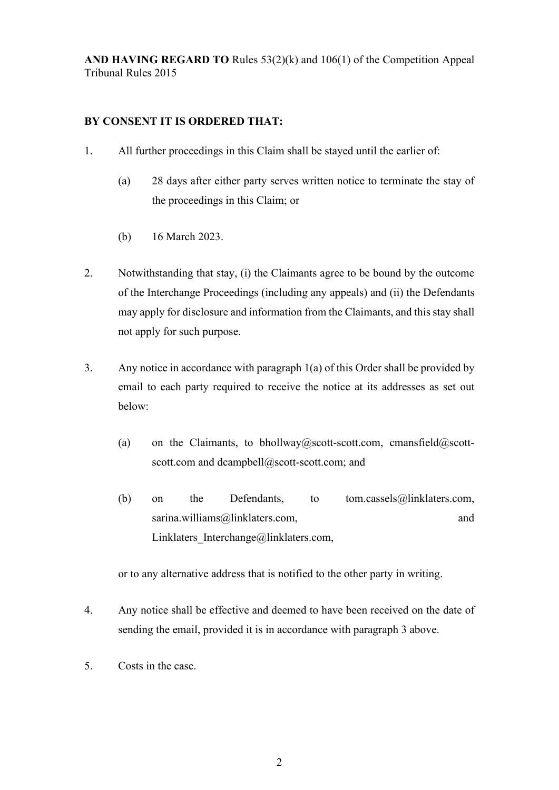**AND HAVING REGARD TO** Rules 53(2)(k) and 106(1) of the Competition Appeal Tribunal Rules 2015

### **BY CONSENT IT IS ORDERED THAT:**

- 1. All further proceedings in this Claim shall be stayed until the earlier of:
	- (a) 28 days after either party serves written notice to terminate the stay of the proceedings in this Claim; or
	- (b) 16 March 2023.
- 2. Notwithstanding that stay, (i) the Claimants agree to be bound by the outcome of the Interchange Proceedings (including any appeals) and (ii) the Defendants may apply for disclosure and information from the Claimants, and this stay shall not apply for such purpose.
- 3. Any notice in accordance with paragraph 1(a) of this Order shall be provided by email to each party required to receive the notice at its addresses as set out below:
	- (a) on the Claimants, to bhollway@scott-scott.com, cmansfield@scottscott.com and dcampbell@scott-scott.com; and
	- (b) on the Defendants, to tom.cassels@linklaters.com, sarina.williams@linklaters.com, and and Linklaters Interchange@linklaters.com,

or to any alternative address that is notified to the other party in writing.

- 4. Any notice shall be effective and deemed to have been received on the date of sending the email, provided it is in accordance with paragraph 3 above.
- 5. Costs in the case.